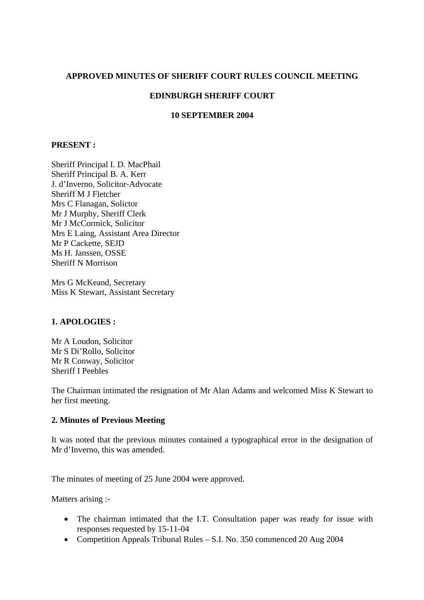## **APPROVED MINUTES OF SHERIFF COURT RULES COUNCIL MEETING**

# **EDINBURGH SHERIFF COURT**

#### **10 SEPTEMBER 2004**

## **PRESENT :**

Sheriff Principal I. D. MacPhail Sheriff Principal B. A. Kerr J. d'Inverno, Solicitor-Advocate Sheriff M J Fletcher Mrs C Flanagan, Solictor Mr J Murphy, Sheriff Clerk Mr J McCormick, Solicitor Mrs E Laing, Assistant Area Director Mr P Cackette, SEJD Ms H. Janssen, OSSE Sheriff N Morrison

Mrs G McKeand, Secretary Miss K Stewart, Assistant Secretary

## **1. APOLOGIES :**

Mr A Loudon, Solicitor Mr S Di'Rollo, Solicitor Mr R Conway, Solicitor Sheriff I Peebles

The Chairman intimated the resignation of Mr Alan Adams and welcomed Miss K Stewart to her first meeting.

## **2. Minutes of Previous Meeting**

It was noted that the previous minutes contained a typographical error in the designation of Mr d'Inverno, this was amended.

The minutes of meeting of 25 June 2004 were approved.

Matters arising :-

- The chairman intimated that the I.T. Consultation paper was ready for issue with responses requested by 15-11-04
- Competition Appeals Tribunal Rules S.I. No. 350 commenced 20 Aug 2004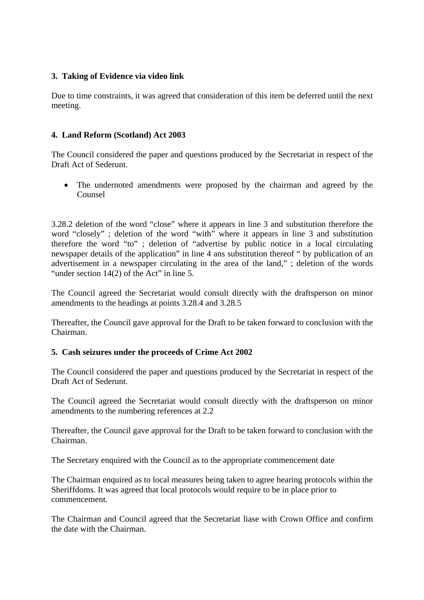## **3. Taking of Evidence via video link**

Due to time constraints, it was agreed that consideration of this item be deferred until the next meeting.

# **4. Land Reform (Scotland) Act 2003**

The Council considered the paper and questions produced by the Secretariat in respect of the Draft Act of Sederunt.

• The undernoted amendments were proposed by the chairman and agreed by the Counsel

3.28.2 deletion of the word "close" where it appears in line 3 and substitution therefore the word "closely" ; deletion of the word "with" where it appears in line 3 and substitution therefore the word "to" ; deletion of "advertise by public notice in a local circulating newspaper details of the application" in line 4 ans substitution thereof " by publication of an advertisement in a newspaper circulating in the area of the land," ; deletion of the words "under section  $14(2)$  of the Act" in line 5.

The Council agreed the Secretariat would consult directly with the draftsperson on minor amendments to the headings at points 3.28.4 and 3.28.5

Thereafter, the Council gave approval for the Draft to be taken forward to conclusion with the Chairman.

## **5. Cash seizures under the proceeds of Crime Act 2002**

The Council considered the paper and questions produced by the Secretariat in respect of the Draft Act of Sederunt.

The Council agreed the Secretariat would consult directly with the draftsperson on minor amendments to the numbering references at 2.2

Thereafter, the Council gave approval for the Draft to be taken forward to conclusion with the Chairman.

The Secretary enquired with the Council as to the appropriate commencement date

The Chairman enquired as to local measures being taken to agree hearing protocols within the Sheriffdoms. It was agreed that local protocols would require to be in place prior to commencement.

The Chairman and Council agreed that the Secretariat liase with Crown Office and confirm the date with the Chairman.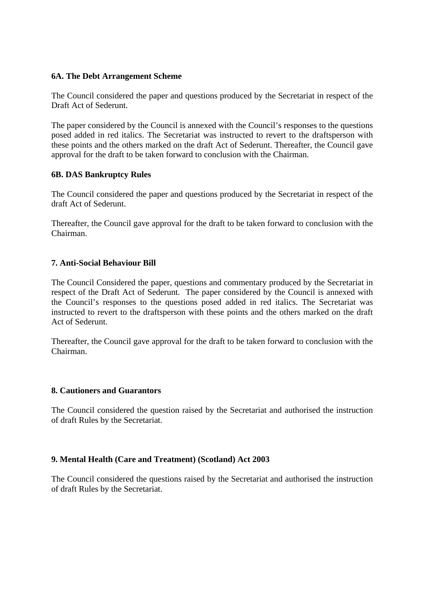## **6A. The Debt Arrangement Scheme**

The Council considered the paper and questions produced by the Secretariat in respect of the Draft Act of Sederunt.

The paper considered by the Council is annexed with the Council's responses to the questions posed added in red italics. The Secretariat was instructed to revert to the draftsperson with these points and the others marked on the draft Act of Sederunt. Thereafter, the Council gave approval for the draft to be taken forward to conclusion with the Chairman.

## **6B. DAS Bankruptcy Rules**

The Council considered the paper and questions produced by the Secretariat in respect of the draft Act of Sederunt.

Thereafter, the Council gave approval for the draft to be taken forward to conclusion with the Chairman.

# **7. Anti-Social Behaviour Bill**

The Council Considered the paper, questions and commentary produced by the Secretariat in respect of the Draft Act of Sederunt. The paper considered by the Council is annexed with the Council's responses to the questions posed added in red italics. The Secretariat was instructed to revert to the draftsperson with these points and the others marked on the draft Act of Sederunt.

Thereafter, the Council gave approval for the draft to be taken forward to conclusion with the Chairman.

## **8. Cautioners and Guarantors**

The Council considered the question raised by the Secretariat and authorised the instruction of draft Rules by the Secretariat.

# **9. Mental Health (Care and Treatment) (Scotland) Act 2003**

The Council considered the questions raised by the Secretariat and authorised the instruction of draft Rules by the Secretariat.